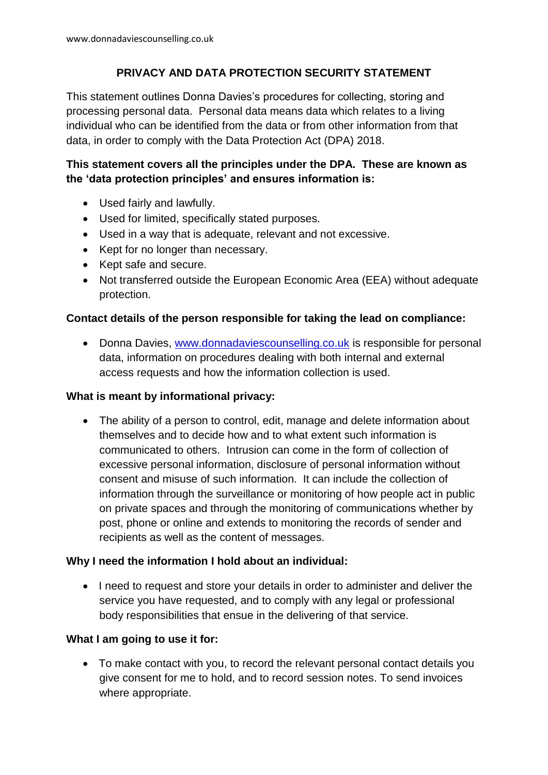# **PRIVACY AND DATA PROTECTION SECURITY STATEMENT**

This statement outlines Donna Davies's procedures for collecting, storing and processing personal data. Personal data means data which relates to a living individual who can be identified from the data or from other information from that data, in order to comply with the Data Protection Act (DPA) 2018.

# **This statement covers all the principles under the DPA. These are known as the 'data protection principles' and ensures information is:**

- Used fairly and lawfully.
- Used for limited, specifically stated purposes.
- Used in a way that is adequate, relevant and not excessive.
- Kept for no longer than necessary.
- Kept safe and secure.
- Not transferred outside the European Economic Area (EEA) without adequate protection.

## **Contact details of the person responsible for taking the lead on compliance:**

• Donna Davies, [www.donnadaviescounselling.co.uk](http://www.donnadaviescounselling.co.uk/) is responsible for personal data, information on procedures dealing with both internal and external access requests and how the information collection is used.

## **What is meant by informational privacy:**

• The ability of a person to control, edit, manage and delete information about themselves and to decide how and to what extent such information is communicated to others. Intrusion can come in the form of collection of excessive personal information, disclosure of personal information without consent and misuse of such information. It can include the collection of information through the surveillance or monitoring of how people act in public on private spaces and through the monitoring of communications whether by post, phone or online and extends to monitoring the records of sender and recipients as well as the content of messages.

## **Why I need the information I hold about an individual:**

 I need to request and store your details in order to administer and deliver the service you have requested, and to comply with any legal or professional body responsibilities that ensue in the delivering of that service.

## **What I am going to use it for:**

 To make contact with you, to record the relevant personal contact details you give consent for me to hold, and to record session notes. To send invoices where appropriate.